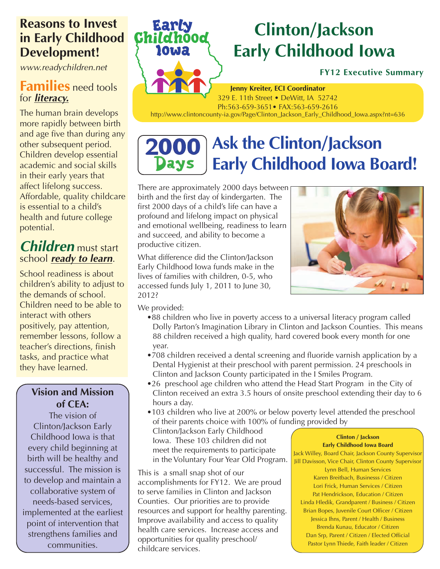# **Reasons to Invest in Early Childhood Development!**

*www.readychildren.net*

## **Families** need tools for *literacy.*

The human brain develops more rapidly between birth and age five than during any other subsequent period. Children develop essential academic and social skills in their early years that affect lifelong success. Affordable, quality childcare is essential to a child's health and future college potential.

# *Children* must start school *ready to learn*.

School readiness is about children's ability to adjust to the demands of school. Children need to be able to interact with others positively, pay attention, remember lessons, follow a teacher's directions, finish tasks, and practice what they have learned.

### **Vision and Mission of CEA:**

The vision of Clinton/Jackson Early Childhood Iowa is that every child beginning at birth will be healthy and successful. The mission is to develop and maintain a collaborative system of needs-based services, implemented at the earliest point of intervention that strengthens families and communities.

# **Clinton/Jackson Early Childhood Iowa**

### **FY12 Executive Summary**

**Jenny Kreiter, ECI Coordinator** 329 E. 11th Street • DeWitt, IA 52742 Ph:563-659-3651• FAX:563-659-2616

http://www.clintoncounty-ia.gov/Page/Clinton\_Jackson\_Early\_Childhood\_Iowa.aspx?nt=636

#### **Ask the Clinton/Jackson 2000** Days **Early Childhood Iowa Board!**

There are approximately 2000 days between birth and the first day of kindergarten. The first 2000 days of a child's life can have a profound and lifelong impact on physical and emotional wellbeing, readiness to learn and succeed, and ability to become a productive citizen.

What difference did the Clinton/Jackson Early Childhood Iowa funds make in the lives of families with children, 0-5, who accessed funds July 1, 2011 to June 30, 2012?

We provided:

**Earl** 

10Wa

**Child** 

- •88 children who live in poverty access to a universal literacy program called Dolly Parton's Imagination Library in Clinton and Jackson Counties. This means 88 children received a high quality, hard covered book every month for one year.
- •708 children received a dental screening and fluoride varnish application by a Dental Hygienist at their preschool with parent permission. 24 preschools in Clinton and Jackson County participated in the I Smiles Program.
- •26 preschool age children who attend the Head Start Program in the City of Clinton received an extra 3.5 hours of onsite preschool extending their day to 6 hours a day.
- •103 children who live at 200% or below poverty level attended the preschool of their parents choice with 100% of funding provided by Clinton/Jackson Early Childhood Iowa. These 103 children did not meet the requirements to participate in the Voluntary Four Year Old Program. **Clinton / Jackson Early Childhood Iowa Board** Jack Willey, Board Chair, Jackson County Supervisor

This is a small snap shot of our accomplishments for FY12. We are proud to serve families in Clinton and Jackson Counties. Our priorities are to provide resources and support for healthy parenting. Improve availability and access to quality health care services. Increase access and opportunities for quality preschool/ childcare services.

Jill Davisson, Vice Chair, Clinton County Supervisor Lynn Bell, Human Services Karen Breitbach, Businesss / Citizen Lori Frick, Human Services / Citizen Pat Hendrickson, Education / Citizen Linda Hledik, Grandparent / Business / Citizen Brian Bopes, Juvenile Court Officer / Citizen Jessica Ihns, Parent / Health / Business Brenda Kunau, Educator / Citizen Dan Srp, Parent / Citizen / Elected Official Pastor Lynn Thiede, Faith leader / Citizen